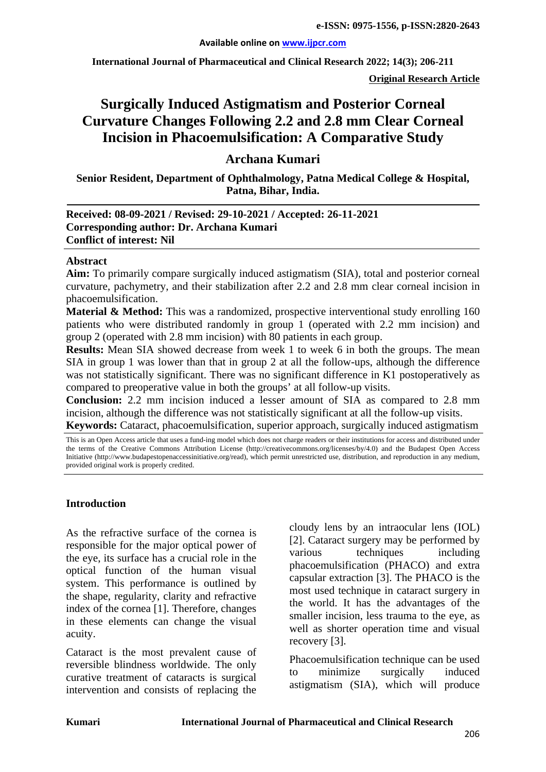**International Journal of Pharmaceutical and Clinical Research 2022; 14(3); 206-211**

**Original Research Article**

# **Surgically Induced Astigmatism and Posterior Corneal Curvature Changes Following 2.2 and 2.8 mm Clear Corneal Incision in Phacoemulsification: A Comparative Study**

# **Archana Kumari**

**Senior Resident, Department of Ophthalmology, Patna Medical College & Hospital, Patna, Bihar, India.**

#### **Received: 08-09-2021 / Revised: 29-10-2021 / Accepted: 26-11-2021 Corresponding author: Dr. Archana Kumari Conflict of interest: Nil**

#### **Abstract**

**Aim:** To primarily compare surgically induced astigmatism (SIA), total and posterior corneal curvature, pachymetry, and their stabilization after 2.2 and 2.8 mm clear corneal incision in phacoemulsification.

**Material & Method:** This was a randomized, prospective interventional study enrolling 160 patients who were distributed randomly in group 1 (operated with 2.2 mm incision) and group 2 (operated with 2.8 mm incision) with 80 patients in each group.

**Results:** Mean SIA showed decrease from week 1 to week 6 in both the groups. The mean SIA in group 1 was lower than that in group 2 at all the follow-ups, although the difference was not statistically significant. There was no significant difference in K1 postoperatively as compared to preoperative value in both the groups' at all follow-up visits.

**Conclusion:** 2.2 mm incision induced a lesser amount of SIA as compared to 2.8 mm incision, although the difference was not statistically significant at all the follow-up visits.

**Keywords:** Cataract, phacoemulsification, superior approach, surgically induced astigmatism

This is an Open Access article that uses a fund-ing model which does not charge readers or their institutions for access and distributed under the terms of the Creative Commons Attribution License (http://creativecommons.org/licenses/by/4.0) and the Budapest Open Access Initiative (http://www.budapestopenaccessinitiative.org/read), which permit unrestricted use, distribution, and reproduction in any medium, provided original work is properly credited.

#### **Introduction**

As the refractive surface of the cornea is responsible for the major optical power of the eye, its surface has a crucial role in the optical function of the human visual system. This performance is outlined by the shape, regularity, clarity and refractive index of the cornea [1]. Therefore, changes in these elements can change the visual acuity.

Cataract is the most prevalent cause of reversible blindness worldwide. The only curative treatment of cataracts is surgical intervention and consists of replacing the

cloudy lens by an intraocular lens (IOL) [2]. Cataract surgery may be performed by various techniques including phacoemulsification (PHACO) and extra capsular extraction [3]. The PHACO is the most used technique in cataract surgery in the world. It has the advantages of the smaller incision, less trauma to the eye, as well as shorter operation time and visual recovery [3].

Phacoemulsification technique can be used to minimize surgically induced astigmatism (SIA), which will produce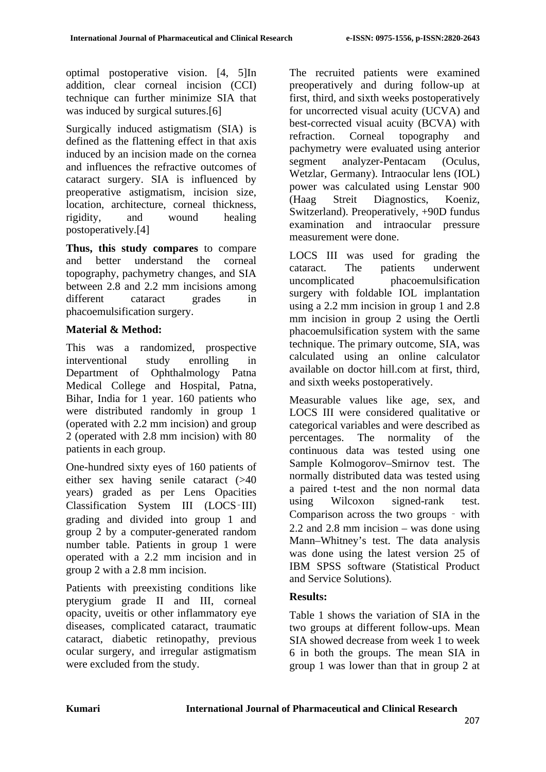optimal postoperative vision. [4, 5]In addition, clear corneal incision (CCI) technique can further minimize SIA that was induced by surgical sutures.[6]

Surgically induced astigmatism (SIA) is defined as the flattening effect in that axis induced by an incision made on the cornea and influences the refractive outcomes of cataract surgery. SIA is influenced by preoperative astigmatism, incision size, location, architecture, corneal thickness, rigidity, and wound healing postoperatively.[4]

**Thus, this study compares** to compare and better understand the corneal topography, pachymetry changes, and SIA between 2.8 and 2.2 mm incisions among different cataract grades in phacoemulsification surgery.

# **Material & Method:**

This was a randomized, prospective interventional study enrolling in Department of Ophthalmology Patna Medical College and Hospital, Patna, Bihar, India for 1 year. 160 patients who were distributed randomly in group 1 (operated with 2.2 mm incision) and group 2 (operated with 2.8 mm incision) with 80 patients in each group.

One-hundred sixty eyes of 160 patients of either sex having senile cataract (>40 years) graded as per Lens Opacities Classification System III (LOCS‑III) grading and divided into group 1 and group 2 by a computer-generated random number table. Patients in group 1 were operated with a 2.2 mm incision and in group 2 with a 2.8 mm incision.

Patients with preexisting conditions like pterygium grade II and III, corneal opacity, uveitis or other inflammatory eye diseases, complicated cataract, traumatic cataract, diabetic retinopathy, previous ocular surgery, and irregular astigmatism were excluded from the study.

The recruited patients were examined preoperatively and during follow-up at first, third, and sixth weeks postoperatively for uncorrected visual acuity (UCVA) and best-corrected visual acuity (BCVA) with refraction. Corneal topography and pachymetry were evaluated using anterior segment analyzer-Pentacam (Oculus, Wetzlar, Germany). Intraocular lens (IOL) power was calculated using Lenstar 900 (Haag Streit Diagnostics, Koeniz, Switzerland). Preoperatively, +90D fundus examination and intraocular pressure measurement were done.

LOCS III was used for grading the cataract. The patients underwent uncomplicated phacoemulsification surgery with foldable IOL implantation using a 2.2 mm incision in group 1 and 2.8 mm incision in group 2 using the Oertli phacoemulsification system with the same technique. The primary outcome, SIA, was calculated using an online calculator available on doctor hill.com at first, third, and sixth weeks postoperatively.

Measurable values like age, sex, and LOCS III were considered qualitative or categorical variables and were described as percentages. The normality of the continuous data was tested using one Sample Kolmogorov–Smirnov test. The normally distributed data was tested using a paired t-test and the non normal data using Wilcoxon signed-rank test. Comparison across the two groups ‑ with 2.2 and 2.8 mm incision – was done using Mann–Whitney's test. The data analysis was done using the latest version 25 of IBM SPSS software (Statistical Product and Service Solutions).

## **Results:**

Table 1 shows the variation of SIA in the two groups at different follow-ups. Mean SIA showed decrease from week 1 to week 6 in both the groups. The mean SIA in group 1 was lower than that in group 2 at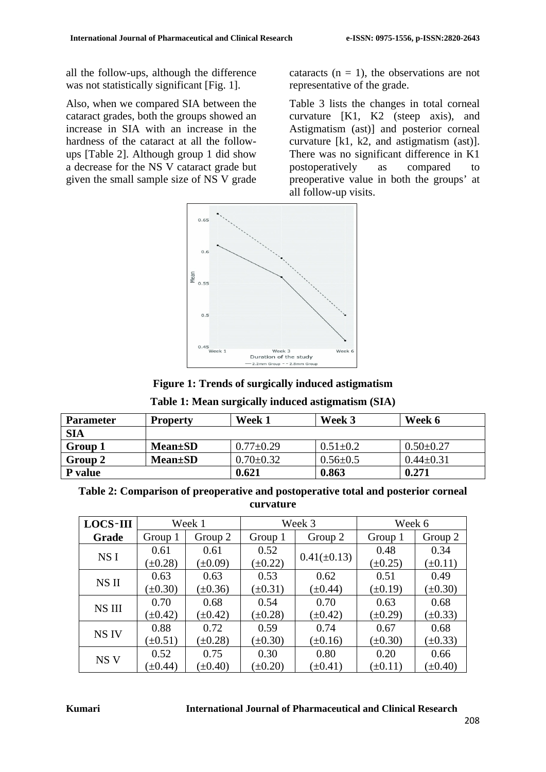all the follow-ups, although the difference was not statistically significant [Fig. 1].

Also, when we compared SIA between the cataract grades, both the groups showed an increase in SIA with an increase in the hardness of the cataract at all the followups [Table 2]. Although group 1 did show a decrease for the NS V cataract grade but given the small sample size of NS V grade

cataracts  $(n = 1)$ , the observations are not representative of the grade.

Table 3 lists the changes in total corneal curvature [K1, K2 (steep axis), and Astigmatism (ast)] and posterior corneal curvature [k1, k2, and astigmatism (ast)]. There was no significant difference in K1 postoperatively as compared to preoperative value in both the groups' at all follow-up visits.





| Table 1: Mean surgically induced astigmatism (SIA) |  |  |  |
|----------------------------------------------------|--|--|--|
|----------------------------------------------------|--|--|--|

| <b>Parameter</b> | <b>Property</b> | Week 1          | Week 3         | Week 6          |
|------------------|-----------------|-----------------|----------------|-----------------|
| <b>SIA</b>       |                 |                 |                |                 |
| Group 1          | <b>Mean</b> ±SD | $0.77+0.29$     | $0.51 \pm 0.2$ | $0.50 \pm 0.27$ |
| Group 2          | <b>Mean</b> ±SD | $0.70 \pm 0.32$ | $0.56 \pm 0.5$ | $0.44 + 0.31$   |
| <b>P</b> value   |                 | 0.621           | 0.863          | 0.271           |

| Table 2: Comparison of preoperative and postoperative total and posterior corneal |  |
|-----------------------------------------------------------------------------------|--|
| curvature                                                                         |  |

| <b>LOCS-III</b> |              | Week 1       | Week 3       |                  | Week 6       |              |
|-----------------|--------------|--------------|--------------|------------------|--------------|--------------|
| Grade           | Group 1      | Group 2      | Group 1      | Group 2          | Group 1      | Group 2      |
| NS I            | 0.61         | 0.61         | 0.52         |                  | 0.48         | 0.34         |
|                 | $(\pm 0.28)$ | $(\pm 0.09)$ | $(\pm 0.22)$ | $0.41(\pm 0.13)$ | $(\pm 0.25)$ | $(\pm 0.11)$ |
| NS II           | 0.63         | 0.63         | 0.53         | 0.62             | 0.51         | 0.49         |
|                 | $(\pm 0.30)$ | $(\pm 0.36)$ | $(\pm 0.31)$ | $(\pm 0.44)$     | $(\pm 0.19)$ | $(\pm 0.30)$ |
| NS III          | 0.70         | 0.68         | 0.54         | 0.70             | 0.63         | 0.68         |
|                 | $(\pm 0.42)$ | $(\pm 0.42)$ | $(\pm 0.28)$ | $(\pm 0.42)$     | $(\pm 0.29)$ | $(\pm 0.33)$ |
| NS IV           | 0.88         | 0.72         | 0.59         | 0.74             | 0.67         | 0.68         |
|                 | $(\pm 0.51)$ | $(\pm 0.28)$ | $(\pm 0.30)$ | $(\pm 0.16)$     | $(\pm 0.30)$ | $(\pm 0.33)$ |
| NS <sub>V</sub> | 0.52         | 0.75         | 0.30         | 0.80             | 0.20         | 0.66         |
|                 | $(\pm 0.44)$ | $(\pm 0.40)$ | $(\pm 0.20)$ | $(\pm 0.41)$     | $(\pm 0.11)$ | $(\pm 0.40)$ |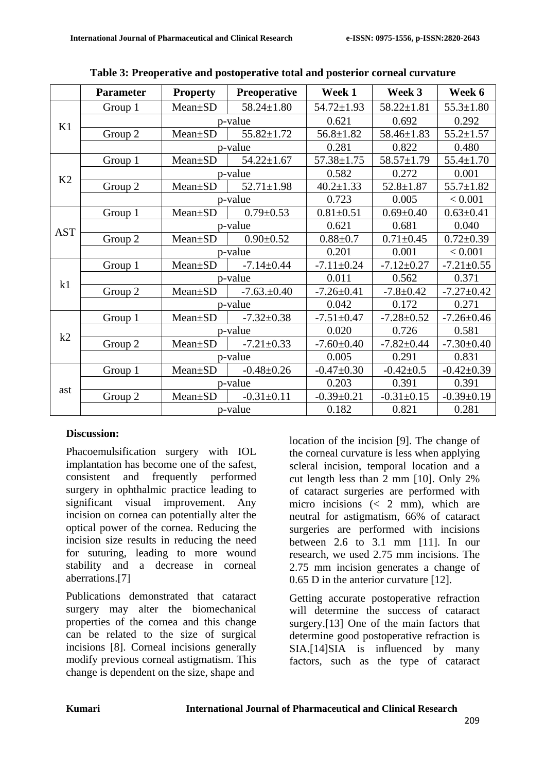|            | <b>Parameter</b> | <b>Property</b> | <b>Preoperative</b> | Week 1           | Week 3           | Week 6           |
|------------|------------------|-----------------|---------------------|------------------|------------------|------------------|
|            | Group 1          | Mean±SD         | $58.24 \pm 1.80$    | $54.72 \pm 1.93$ | $58.22 \pm 1.81$ | $55.3 \pm 1.80$  |
| K1         |                  | p-value         |                     | 0.621            | 0.692            | 0.292            |
|            | Group 2          | Mean±SD         | $55.82 \pm 1.72$    | $56.8 \pm 1.82$  | $58.46 \pm 1.83$ | $55.2 \pm 1.57$  |
|            |                  | p-value         |                     | 0.281            | 0.822            | 0.480            |
| K2         | Group 1          | Mean±SD         | $54.22 \pm 1.67$    | $57.38 \pm 1.75$ | $58.57 \pm 1.79$ | $55.4 \pm 1.70$  |
|            |                  | p-value         |                     | 0.582            | 0.272            | 0.001            |
|            | Group 2          | Mean±SD         | $52.71 \pm 1.98$    | $40.2 \pm 1.33$  | $52.8 \pm 1.87$  | $55.7 \pm 1.82$  |
|            |                  |                 | p-value             |                  | 0.005            | < 0.001          |
|            | Group 1          | Mean±SD         | $0.79 \pm 0.53$     | $0.81 \pm 0.51$  | $0.69 \pm 0.40$  | $0.63 \pm 0.41$  |
| <b>AST</b> |                  | p-value         |                     | 0.621            | 0.681            | 0.040            |
|            | Group 2          | Mean±SD         | $0.90 \pm 0.52$     | $0.88 + 0.7$     | $0.71 \pm 0.45$  | $0.72 \pm 0.39$  |
|            |                  | p-value         |                     | 0.201            | 0.001            | < 0.001          |
|            | Group 1          | Mean±SD         | $-7.14 \pm 0.44$    | $-7.11 \pm 0.24$ | $-7.12 \pm 0.27$ | $-7.21 \pm 0.55$ |
| k1         |                  | p-value         |                     | 0.011            | 0.562            | 0.371            |
|            | Group 2          | Mean±SD         | $-7.63 \pm 0.40$    | $-7.26 \pm 0.41$ | $-7.8 \pm 0.42$  | $-7.27 \pm 0.42$ |
|            |                  | p-value         |                     | 0.042            | 0.172            | 0.271            |
|            | Group 1          | Mean±SD         | $-7.32 \pm 0.38$    | $-7.51 \pm 0.47$ | $-7.28 \pm 0.52$ | $-7.26 \pm 0.46$ |
| k2         |                  | p-value         |                     | 0.020            | 0.726            | 0.581            |
|            | Group 2          | Mean±SD         | $-7.21 \pm 0.33$    | $-7.60 \pm 0.40$ | $-7.82 \pm 0.44$ | $-7.30 \pm 0.40$ |
|            |                  | p-value         |                     | 0.005            | 0.291            | 0.831            |
| ast        | Group 1          | Mean±SD         | $-0.48 + 0.26$      | $-0.47+0.30$     | $-0.42 \pm 0.5$  | $-0.42 \pm 0.39$ |
|            |                  | p-value         |                     | 0.203            | 0.391            | 0.391            |
|            | Group 2          | Mean±SD         | $-0.31 \pm 0.11$    | $-0.39 \pm 0.21$ | $-0.31 \pm 0.15$ | $-0.39+0.19$     |
|            |                  | p-value         |                     | 0.182            | 0.821            | 0.281            |

## **Discussion:**

Phacoemulsification surgery with IOL implantation has become one of the safest, consistent and frequently performed surgery in ophthalmic practice leading to significant visual improvement. Any incision on cornea can potentially alter the optical power of the cornea. Reducing the incision size results in reducing the need for suturing, leading to more wound stability and a decrease in corneal aberrations.[7]

Publications demonstrated that cataract surgery may alter the biomechanical properties of the cornea and this change can be related to the size of surgical incisions [8]. Corneal incisions generally modify previous corneal astigmatism. This change is dependent on the size, shape and

location of the incision [9]. The change of the corneal curvature is less when applying scleral incision, temporal location and a cut length less than 2 mm [10]. Only 2% of cataract surgeries are performed with micro incisions  $\left( < 2 \text{ mm} \right)$ , which are neutral for astigmatism, 66% of cataract surgeries are performed with incisions between 2.6 to 3.1 mm [11]. In our research, we used 2.75 mm incisions. The 2.75 mm incision generates a change of 0.65 D in the anterior curvature [12].

Getting accurate postoperative refraction will determine the success of cataract surgery.[13] One of the main factors that determine good postoperative refraction is SIA.[14]SIA is influenced by many factors, such as the type of cataract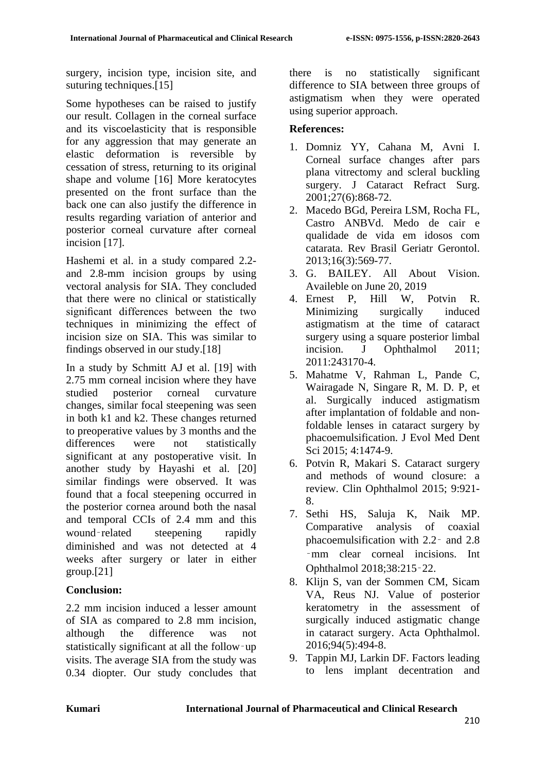surgery, incision type, incision site, and suturing techniques.<sup>[15]</sup>

Some hypotheses can be raised to justify our result. Collagen in the corneal surface and its viscoelasticity that is responsible for any aggression that may generate an elastic deformation is reversible by cessation of stress, returning to its original shape and volume [16] More keratocytes presented on the front surface than the back one can also justify the difference in results regarding variation of anterior and posterior corneal curvature after corneal incision [17].

Hashemi et al. in a study compared 2.2 and 2.8-mm incision groups by using vectoral analysis for SIA. They concluded that there were no clinical or statistically significant differences between the two techniques in minimizing the effect of incision size on SIA. This was similar to findings observed in our study.[18]

In a study by Schmitt AJ et al. [19] with 2.75 mm corneal incision where they have studied posterior corneal curvature changes, similar focal steepening was seen in both k1 and k2. These changes returned to preoperative values by 3 months and the differences were not statistically significant at any postoperative visit. In another study by Hayashi et al. [20] similar findings were observed. It was found that a focal steepening occurred in the posterior cornea around both the nasal and temporal CCIs of 2.4 mm and this wound-related steepening rapidly diminished and was not detected at 4 weeks after surgery or later in either group.[21]

## **Conclusion:**

2.2 mm incision induced a lesser amount of SIA as compared to 2.8 mm incision, although the difference was not statistically significant at all the follow‑up visits. The average SIA from the study was 0.34 diopter. Our study concludes that there is no statistically significant difference to SIA between three groups of astigmatism when they were operated using superior approach.

# **References:**

- 1. Domniz YY, Cahana M, Avni I. Corneal surface changes after pars plana vitrectomy and scleral buckling surgery. J Cataract Refract Surg. 2001;27(6):868-72.
- 2. Macedo BGd, Pereira LSM, Rocha FL, Castro ANBVd. Medo de cair e qualidade de vida em idosos com catarata. Rev Brasil Geriatr Gerontol. 2013;16(3):569-77.
- 3. G. BAILEY. All About Vision. Availeble on June 20, 2019
- 4. Ernest P, Hill W, Potvin R. Minimizing surgically induced astigmatism at the time of cataract surgery using a square posterior limbal incision. J Ophthalmol 2011; 2011:243170-4.
- 5. Mahatme V, Rahman L, Pande C, Wairagade N, Singare R, M. D. P, et al. Surgically induced astigmatism after implantation of foldable and nonfoldable lenses in cataract surgery by phacoemulsification. J Evol Med Dent Sci 2015; 4:1474-9.
- 6. Potvin R, Makari S. Cataract surgery and methods of wound closure: a review. Clin Ophthalmol 2015; 9:921- 8.
- 7. Sethi HS, Saluja K, Naik MP. Comparative analysis of coaxial phacoemulsification with 2.2‑ and 2.8 ‑mm clear corneal incisions. Int Ophthalmol 2018;38:215‑22.
- 8. Klijn S, van der Sommen CM, Sicam VA, Reus NJ. Value of posterior keratometry in the assessment of surgically induced astigmatic change in cataract surgery. Acta Ophthalmol. 2016;94(5):494-8.
- 9. Tappin MJ, Larkin DF. Factors leading to lens implant decentration and